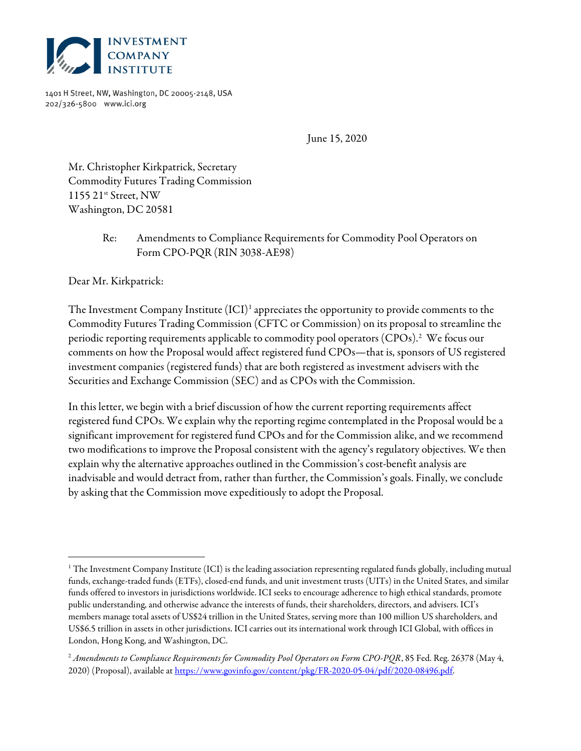

1401 H Street, NW, Washington, DC 20005-2148, USA 202/326-5800 www.ici.org

June 15, 2020

Mr. Christopher Kirkpatrick, Secretary Commodity Futures Trading Commission 1155 21<sup>st</sup> Street, NW Washington, DC 20581

## Re: Amendments to Compliance Requirements for Commodity Pool Operators on Form CPO-PQR (RIN 3038-AE98)

Dear Mr. Kirkpatrick:

The Investment Company Institute  $(ICI)^1$  appreciates the opportunity to provide comments to the Commodity Futures Trading Commission (CFTC or Commission) on its proposal to streamline the periodic reporting requirements applicable to commodity pool operators (CPOs).<sup>2</sup> We focus our comments on how the Proposal would affect registered fund CPOs—that is, sponsors of US registered investment companies (registered funds) that are both registered as investment advisers with the Securities and Exchange Commission (SEC) and as CPOs with the Commission.

In this letter, we begin with a brief discussion of how the current reporting requirements affect registered fund CPOs. We explain why the reporting regime contemplated in the Proposal would be a significant improvement for registered fund CPOs and for the Commission alike, and we recommend two modifications to improve the Proposal consistent with the agency's regulatory objectives. We then explain why the alternative approaches outlined in the Commission's cost-benefit analysis are inadvisable and would detract from, rather than further, the Commission's goals. Finally, we conclude by asking that the Commission move expeditiously to adopt the Proposal.

<sup>1</sup> The Investment Company Institute (ICI) is the leading association representing regulated funds globally, including mutual funds, exchange-traded funds (ETFs), closed-end funds, and unit investment trusts (UITs) in the United States, and similar funds offered to investors in jurisdictions worldwide. ICI seeks to encourage adherence to high ethical standards, promote public understanding, and otherwise advance the interests of funds, their shareholders, directors, and advisers. ICI's members manage total assets of US\$24 trillion in the United States, serving more than 100 million US shareholders, and US\$6.5 trillion in assets in other jurisdictions. ICI carries out its international work through ICI Global, with offices in London, Hong Kong, and Washington, DC.

 $^2$  Amendments to Compliance Requirements for Commodity Pool Operators on Form CPO-PQR, 85 Fed. Reg. 26378 (May 4, 2020) (Proposal), available at https://www.govinfo.gov/content/pkg/FR-2020-05-04/pdf/2020-08496.pdf.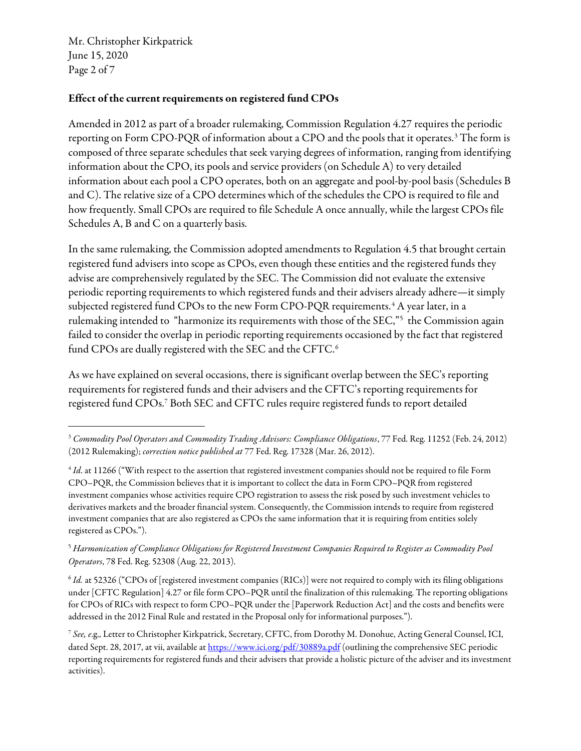Mr. Christopher Kirkpatrick June 15, 2020 Page 2 of 7

## Effect of the current requirements on registered fund CPOs

Amended in 2012 as part of a broader rulemaking, Commission Regulation 4.27 requires the periodic reporting on Form CPO-PQR of information about a CPO and the pools that it operates.<sup>3</sup> The form is composed of three separate schedules that seek varying degrees of information, ranging from identifying information about the CPO, its pools and service providers (on Schedule A) to very detailed information about each pool a CPO operates, both on an aggregate and pool-by-pool basis (Schedules B and C). The relative size of a CPO determines which of the schedules the CPO is required to file and how frequently. Small CPOs are required to file Schedule A once annually, while the largest CPOs file Schedules A, B and C on a quarterly basis.

In the same rulemaking, the Commission adopted amendments to Regulation 4.5 that brought certain registered fund advisers into scope as CPOs, even though these entities and the registered funds they advise are comprehensively regulated by the SEC. The Commission did not evaluate the extensive periodic reporting requirements to which registered funds and their advisers already adhere—it simply subjected registered fund CPOs to the new Form CPO-PQR requirements. $^4$  A year later, in a rulemaking intended to "harmonize its requirements with those of the SEC,"<sup>5</sup> the Commission again failed to consider the overlap in periodic reporting requirements occasioned by the fact that registered fund CPOs are dually registered with the SEC and the CFTC.<sup>6</sup>

As we have explained on several occasions, there is significant overlap between the SEC's reporting requirements for registered funds and their advisers and the CFTC's reporting requirements for registered fund CPOs.<sup>7</sup> Both SEC and CFTC rules require registered funds to report detailed

<sup>&</sup>lt;sup>3</sup> Commodity Pool Operators and Commodity Trading Advisors: Compliance Obligations, 77 Fed. Reg. 11252 (Feb. 24, 2012) (2012 Rulemaking); correction notice published at 77 Fed. Reg. 17328 (Mar. 26, 2012).

 $^4$  Id. at 11266 ("With respect to the assertion that registered investment companies should not be required to file Form CPO–PQR, the Commission believes that it is important to collect the data in Form CPO–PQR from registered investment companies whose activities require CPO registration to assess the risk posed by such investment vehicles to derivatives markets and the broader financial system. Consequently, the Commission intends to require from registered investment companies that are also registered as CPOs the same information that it is requiring from entities solely registered as CPOs.").

<sup>5</sup> Harmonization of Compliance Obligations for Registered Investment Companies Required to Register as Commodity Pool Operators, 78 Fed. Reg. 52308 (Aug. 22, 2013).

 $6$  Id. at 52326 ("CPOs of [registered investment companies (RICs)] were not required to comply with its filing obligations under [CFTC Regulation] 4.27 or file form CPO–PQR until the finalization of this rulemaking. The reporting obligations for CPOs of RICs with respect to form CPO–PQR under the [Paperwork Reduction Act] and the costs and benefits were addressed in the 2012 Final Rule and restated in the Proposal only for informational purposes.").

<sup>&</sup>lt;sup>7</sup> See, e.g., Letter to Christopher Kirkpatrick, Secretary, CFTC, from Dorothy M. Donohue, Acting General Counsel, ICI, dated Sept. 28, 2017, at vii, available at https://www.ici.org/pdf/30889a.pdf (outlining the comprehensive SEC periodic reporting requirements for registered funds and their advisers that provide a holistic picture of the adviser and its investment activities).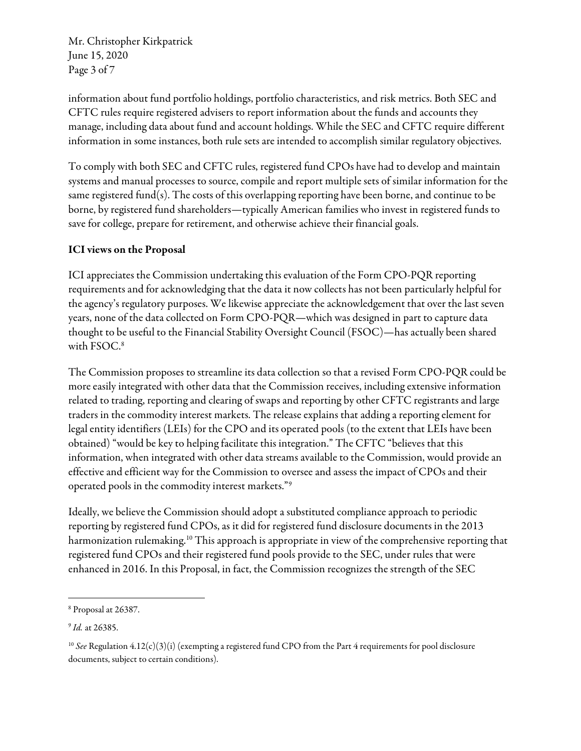Mr. Christopher Kirkpatrick June 15, 2020 Page 3 of 7

information about fund portfolio holdings, portfolio characteristics, and risk metrics. Both SEC and CFTC rules require registered advisers to report information about the funds and accounts they manage, including data about fund and account holdings. While the SEC and CFTC require different information in some instances, both rule sets are intended to accomplish similar regulatory objectives.

To comply with both SEC and CFTC rules, registered fund CPOs have had to develop and maintain systems and manual processes to source, compile and report multiple sets of similar information for the same registered fund(s). The costs of this overlapping reporting have been borne, and continue to be borne, by registered fund shareholders—typically American families who invest in registered funds to save for college, prepare for retirement, and otherwise achieve their financial goals.

## ICI views on the Proposal

ICI appreciates the Commission undertaking this evaluation of the Form CPO-PQR reporting requirements and for acknowledging that the data it now collects has not been particularly helpful for the agency's regulatory purposes. We likewise appreciate the acknowledgement that over the last seven years, none of the data collected on Form CPO-PQR—which was designed in part to capture data thought to be useful to the Financial Stability Oversight Council (FSOC)—has actually been shared with FSOC.<sup>8</sup>

The Commission proposes to streamline its data collection so that a revised Form CPO-PQR could be more easily integrated with other data that the Commission receives, including extensive information related to trading, reporting and clearing of swaps and reporting by other CFTC registrants and large traders in the commodity interest markets. The release explains that adding a reporting element for legal entity identifiers (LEIs) for the CPO and its operated pools (to the extent that LEIs have been obtained) "would be key to helping facilitate this integration." The CFTC "believes that this information, when integrated with other data streams available to the Commission, would provide an effective and efficient way for the Commission to oversee and assess the impact of CPOs and their operated pools in the commodity interest markets."<sup>9</sup>

Ideally, we believe the Commission should adopt a substituted compliance approach to periodic reporting by registered fund CPOs, as it did for registered fund disclosure documents in the 2013 harmonization rulemaking.<sup>10</sup> This approach is appropriate in view of the comprehensive reporting that registered fund CPOs and their registered fund pools provide to the SEC, under rules that were enhanced in 2016. In this Proposal, in fact, the Commission recognizes the strength of the SEC

<sup>8</sup> Proposal at 26387.

<sup>&</sup>lt;sup>9</sup> Id. at 26385.

<sup>&</sup>lt;sup>10</sup> See Regulation 4.12(c)(3)(i) (exempting a registered fund CPO from the Part 4 requirements for pool disclosure documents, subject to certain conditions).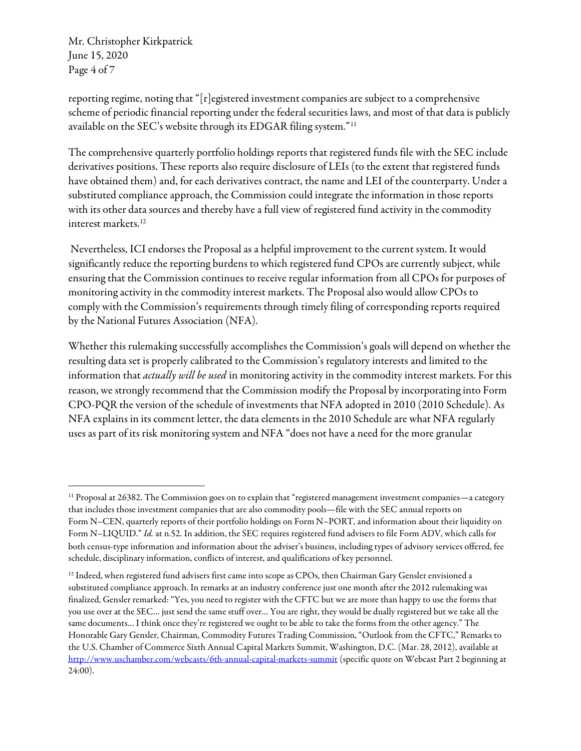Mr. Christopher Kirkpatrick June 15, 2020 Page 4 of 7

reporting regime, noting that "[r]egistered investment companies are subject to a comprehensive scheme of periodic financial reporting under the federal securities laws, and most of that data is publicly available on the SEC's website through its EDGAR filing system."<sup>11</sup>

The comprehensive quarterly portfolio holdings reports that registered funds file with the SEC include derivatives positions. These reports also require disclosure of LEIs (to the extent that registered funds have obtained them) and, for each derivatives contract, the name and LEI of the counterparty. Under a substituted compliance approach, the Commission could integrate the information in those reports with its other data sources and thereby have a full view of registered fund activity in the commodity interest markets.<sup>12</sup>

 Nevertheless, ICI endorses the Proposal as a helpful improvement to the current system. It would significantly reduce the reporting burdens to which registered fund CPOs are currently subject, while ensuring that the Commission continues to receive regular information from all CPOs for purposes of monitoring activity in the commodity interest markets. The Proposal also would allow CPOs to comply with the Commission's requirements through timely filing of corresponding reports required by the National Futures Association (NFA).

Whether this rulemaking successfully accomplishes the Commission's goals will depend on whether the resulting data set is properly calibrated to the Commission's regulatory interests and limited to the information that *actually will be used* in monitoring activity in the commodity interest markets. For this reason, we strongly recommend that the Commission modify the Proposal by incorporating into Form CPO-PQR the version of the schedule of investments that NFA adopted in 2010 (2010 Schedule). As NFA explains in its comment letter, the data elements in the 2010 Schedule are what NFA regularly uses as part of its risk monitoring system and NFA "does not have a need for the more granular

 $11$  Proposal at 26382. The Commission goes on to explain that "registered management investment companies—a category that includes those investment companies that are also commodity pools—file with the SEC annual reports on Form N–CEN, quarterly reports of their portfolio holdings on Form N–PORT, and information about their liquidity on Form N-LIQUID." Id. at n.52. In addition, the SEC requires registered fund advisers to file Form ADV, which calls for both census-type information and information about the adviser's business, including types of advisory services offered, fee schedule, disciplinary information, conflicts of interest, and qualifications of key personnel.

 $12$  Indeed, when registered fund advisers first came into scope as CPOs, then Chairman Gary Gensler envisioned a substituted compliance approach. In remarks at an industry conference just one month after the 2012 rulemaking was finalized, Gensler remarked: "Yes, you need to register with the CFTC but we are more than happy to use the forms that you use over at the SEC… just send the same stuff over… You are right, they would be dually registered but we take all the same documents… I think once they're registered we ought to be able to take the forms from the other agency." The Honorable Gary Gensler, Chairman, Commodity Futures Trading Commission, "Outlook from the CFTC," Remarks to the U.S. Chamber of Commerce Sixth Annual Capital Markets Summit, Washington, D.C. (Mar. 28, 2012), available at http://www.uschamber.com/webcasts/6th-annual-capital-markets-summit (specific quote on Webcast Part 2 beginning at 24:00).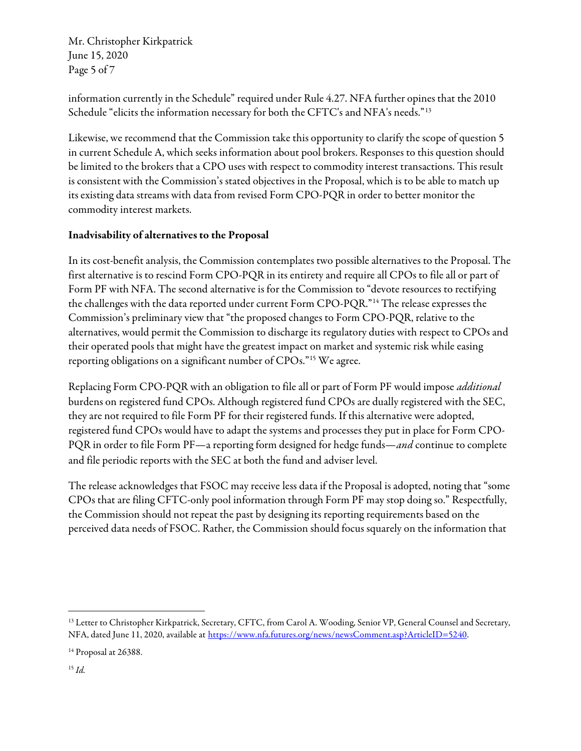Mr. Christopher Kirkpatrick June 15, 2020 Page 5 of 7

information currently in the Schedule" required under Rule 4.27. NFA further opines that the 2010 Schedule "elicits the information necessary for both the CFTC's and NFA's needs."<sup>13</sup>

Likewise, we recommend that the Commission take this opportunity to clarify the scope of question 5 in current Schedule A, which seeks information about pool brokers. Responses to this question should be limited to the brokers that a CPO uses with respect to commodity interest transactions. This result is consistent with the Commission's stated objectives in the Proposal, which is to be able to match up its existing data streams with data from revised Form CPO-PQR in order to better monitor the commodity interest markets.

## Inadvisability of alternatives to the Proposal

In its cost-benefit analysis, the Commission contemplates two possible alternatives to the Proposal. The first alternative is to rescind Form CPO-PQR in its entirety and require all CPOs to file all or part of Form PF with NFA. The second alternative is for the Commission to "devote resources to rectifying the challenges with the data reported under current Form CPO-PQR."<sup>14</sup> The release expresses the Commission's preliminary view that "the proposed changes to Form CPO-PQR, relative to the alternatives, would permit the Commission to discharge its regulatory duties with respect to CPOs and their operated pools that might have the greatest impact on market and systemic risk while easing reporting obligations on a significant number of CPOs."<sup>15</sup> We agree.

Replacing Form CPO-PQR with an obligation to file all or part of Form PF would impose *additional* burdens on registered fund CPOs. Although registered fund CPOs are dually registered with the SEC, they are not required to file Form PF for their registered funds. If this alternative were adopted, registered fund CPOs would have to adapt the systems and processes they put in place for Form CPO-PQR in order to file Form PF—a reporting form designed for hedge funds—and continue to complete and file periodic reports with the SEC at both the fund and adviser level.

The release acknowledges that FSOC may receive less data if the Proposal is adopted, noting that "some CPOs that are filing CFTC-only pool information through Form PF may stop doing so." Respectfully, the Commission should not repeat the past by designing its reporting requirements based on the perceived data needs of FSOC. Rather, the Commission should focus squarely on the information that

<sup>&</sup>lt;sup>13</sup> Letter to Christopher Kirkpatrick, Secretary, CFTC, from Carol A. Wooding, Senior VP, General Counsel and Secretary, NFA, dated June 11, 2020, available at https://www.nfa.futures.org/news/newsComment.asp?ArticleID=5240.

<sup>&</sup>lt;sup>14</sup> Proposal at 26388.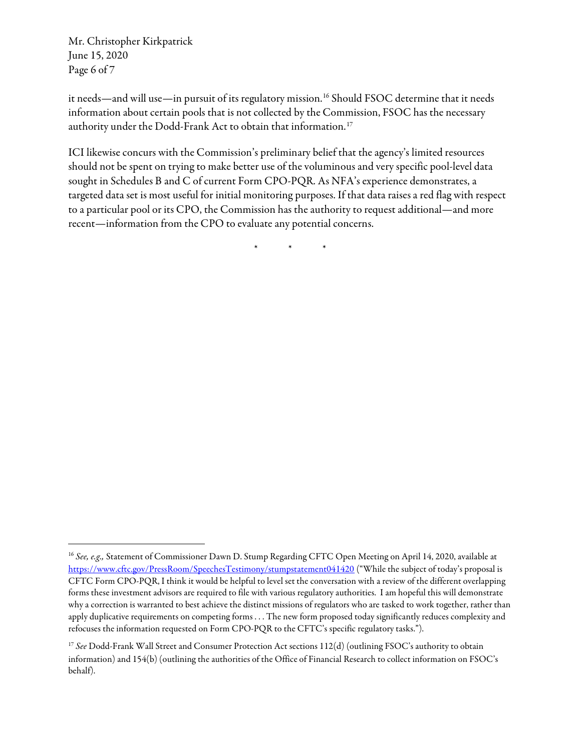Mr. Christopher Kirkpatrick June 15, 2020 Page 6 of 7

it needs—and will use—in pursuit of its regulatory mission.<sup>16</sup> Should FSOC determine that it needs information about certain pools that is not collected by the Commission, FSOC has the necessary authority under the Dodd-Frank Act to obtain that information.<sup>17</sup>

ICI likewise concurs with the Commission's preliminary belief that the agency's limited resources should not be spent on trying to make better use of the voluminous and very specific pool-level data sought in Schedules B and C of current Form CPO-PQR. As NFA's experience demonstrates, a targeted data set is most useful for initial monitoring purposes. If that data raises a red flag with respect to a particular pool or its CPO, the Commission has the authority to request additional—and more recent—information from the CPO to evaluate any potential concerns.

\* \* \*

<sup>&</sup>lt;sup>16</sup> See, e.g., Statement of Commissioner Dawn D. Stump Regarding CFTC Open Meeting on April 14, 2020, available at https://www.cftc.gov/PressRoom/SpeechesTestimony/stumpstatement041420 ("While the subject of today's proposal is CFTC Form CPO-PQR, I think it would be helpful to level set the conversation with a review of the different overlapping forms these investment advisors are required to file with various regulatory authorities. I am hopeful this will demonstrate why a correction is warranted to best achieve the distinct missions of regulators who are tasked to work together, rather than apply duplicative requirements on competing forms . . . The new form proposed today significantly reduces complexity and refocuses the information requested on Form CPO-PQR to the CFTC's specific regulatory tasks.").

<sup>&</sup>lt;sup>17</sup> See Dodd-Frank Wall Street and Consumer Protection Act sections 112(d) (outlining FSOC's authority to obtain information) and 154(b) (outlining the authorities of the Office of Financial Research to collect information on FSOC's behalf).